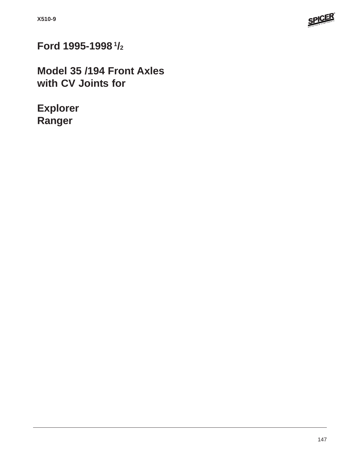

**Ford 1995-1998 1/2**

**Model 35 /194 Front Axles with CV Joints for**

**Explorer Ranger**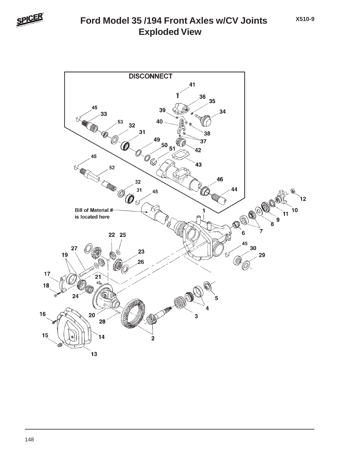

## **Exploded View Ford Model 35 /194 Front Axles w/CV Joints**

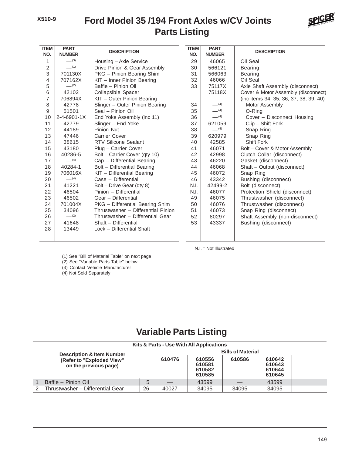## **Ford Model 35 /194 Front Axles w/CV Joints Parts Listing**



| <b>ITEM</b><br>NO. | <b>PART</b><br><b>NUMBER</b> | <b>DESCRIPTION</b>                 | <b>ITEM</b><br>NO. | <b>PART</b><br><b>NUMBER</b> | <b>DESCRIPTION</b>                     |
|--------------------|------------------------------|------------------------------------|--------------------|------------------------------|----------------------------------------|
| 1                  | $-^{(3)}$                    | Housing - Axle Service             | 29                 | 46065                        | Oil Seal                               |
| $\overline{c}$     | $-$ (1)                      | Drive Pinion & Gear Assembly       | 30                 | 566121                       | <b>Bearing</b>                         |
| 3                  | 701130X                      | PKG - Pinion Bearing Shim          | 31                 | 566063                       | <b>Bearing</b>                         |
| 4                  | 707162X                      | KIT - Inner Pinion Bearing         | 32                 | 46066                        | Oil Seal                               |
| 5                  | $-^{(2)}$                    | Baffle - Pinion Oil                | 33                 | 75117X                       | Axle Shaft Assembly (disconnect)       |
| 6                  | 42102                        | Collapsible Spacer                 |                    | 75118X                       | Cover & Motor Assembly (disconnect)    |
| 7                  | 706894X                      | KIT - Outer Pinion Bearing         |                    |                              | (inc items 34, 35, 36, 37, 38, 39, 40) |
| 8                  | 42778                        | Slinger - Outer Pinion Bearing     | 34                 | $-$ (4)                      | <b>Motor Assembly</b>                  |
| 9                  | 51501                        | Seal - Pinion Oil                  | 35                 | $- (4)$                      | O-Ring                                 |
| 10                 | $2 - 4 - 6901 - 1X$          | End Yoke Assembly (inc 11)         | 36                 | $-$ (4)                      | Cover - Disconnect Housing             |
| 11                 | 42779                        | Slinger - End Yoke                 | 37                 | 621059                       | Clip - Shift Fork                      |
| 12                 | 44189                        | Pinion Nut                         | 38                 | $-$ (4)                      | Snap Ring                              |
| 13                 | 47446                        | <b>Carrier Cover</b>               | 39                 | 620979                       | Snap Ring                              |
| 14                 | 38615                        | <b>RTV Silicone Sealant</b>        | 40                 | 42585                        | Shift Fork                             |
| 15                 | 43180                        | Plug - Carrier Cover               | 41                 | 46071                        | Bolt - Cover & Motor Assembly          |
| 16                 | 40286-5                      | Bolt - Carrier Cover (qty 10)      | 42                 | 42998                        | Clutch Collar (disconnect)             |
| 17                 | $-$ (4)                      | Cap - Differential Bearing         | 43                 | 46220                        | Gasket (disconnect)                    |
| 18                 | 40284-1                      | Bolt - Differential Bearing        | 44                 | 46068                        | Shaft - Output (disconnect)            |
| 19                 | 706016X                      | KIT - Differential Bearing         | 45                 | 46072                        | Snap Ring                              |
| 20                 | $-$ (4)                      | Case - Differential                | 46                 | 43342                        | Bushing (disconnect)                   |
| 21                 | 41221                        | Bolt - Drive Gear (qty 8)          | N.I.               | 42499-2                      | Bolt (disconnect)                      |
| 22                 | 46504                        | Pinion - Differential              | N.I.               | 46077                        | Protection Shield (disconnect)         |
| 23                 | 46502                        | Gear - Differential                | 49                 | 46075                        | Thrustwasher (disconnect)              |
| 24                 | 701004X                      | PKG - Differential Bearing Shim    | 50                 | 46076                        | Thrustwasher (disconnect)              |
| 25                 | 34096                        | Thrustwasher - Differential Pinion | 51                 | 46073                        | Snap Ring (disconnect)                 |
| 26                 | $-$ (2)                      | Thrustwasher - Differential Gear   | 52                 | 80297                        | Shaft Assembly (non-disconnect)        |
| 27                 | 41648                        | Shaft - Differential               | 53                 | 43337                        | Bushing (disconnect)                   |
| 28                 | 13449                        | Lock - Differential Shaft          |                    |                              |                                        |
|                    |                              |                                    |                    |                              |                                        |

N.I. = Not Illustrated

(1) See "Bill of Material Table" on next page

(2) See "Variable Parts Table" below

(3) Contact Vehicle Manufacturer

(4) Not Sold Separately

## **Variable Parts Listing**

| Kits & Parts - Use With All Applications           |                          |        |                                      |        |                                      |  |  |  |  |
|----------------------------------------------------|--------------------------|--------|--------------------------------------|--------|--------------------------------------|--|--|--|--|
| <b>Description &amp; Item Number</b>               | <b>Bills of Material</b> |        |                                      |        |                                      |  |  |  |  |
| (Refer to "Exploded View"<br>on the previous page) |                          | 610476 | 610556<br>610581<br>610582<br>610585 | 610586 | 610642<br>610643<br>610644<br>610645 |  |  |  |  |
| Baffle - Pinion Oil                                | 5                        |        | 43599                                |        | 43599                                |  |  |  |  |
| Thrustwasher - Differential Gear                   | 26                       | 40027  | 34095                                | 34095  | 34095                                |  |  |  |  |